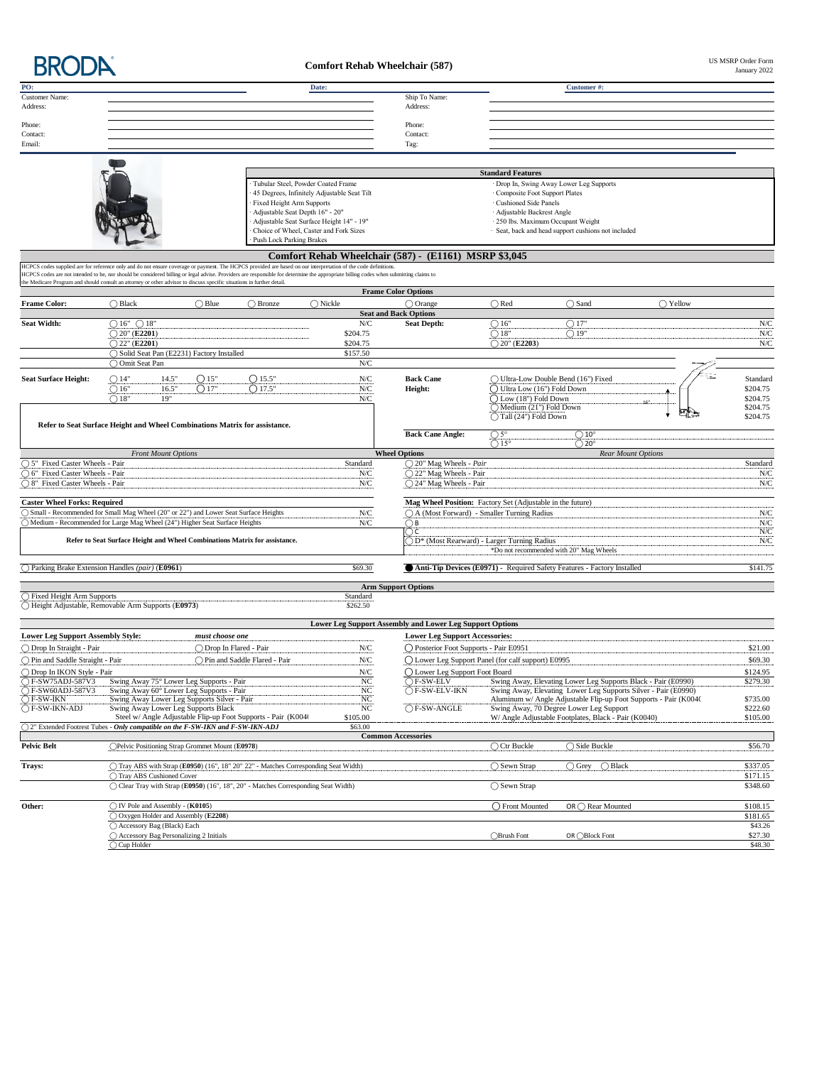

## **Comfort Rehab Wheelchair (587)**

US MSRP Order Form<br>January 2022

| PO:                                                                                                                                                                                                                                                                                                                                                    |                               |                                           |                                                                                         |                                                                                     | Date:                                       |                                         |                                                          |                                                                                                           | Customer#:                                                                                                                          |                  |                      |
|--------------------------------------------------------------------------------------------------------------------------------------------------------------------------------------------------------------------------------------------------------------------------------------------------------------------------------------------------------|-------------------------------|-------------------------------------------|-----------------------------------------------------------------------------------------|-------------------------------------------------------------------------------------|---------------------------------------------|-----------------------------------------|----------------------------------------------------------|-----------------------------------------------------------------------------------------------------------|-------------------------------------------------------------------------------------------------------------------------------------|------------------|----------------------|
| Customer Name:<br>Address:                                                                                                                                                                                                                                                                                                                             |                               |                                           |                                                                                         |                                                                                     |                                             |                                         | Ship To Name:<br>Address:                                |                                                                                                           |                                                                                                                                     |                  |                      |
|                                                                                                                                                                                                                                                                                                                                                        |                               |                                           |                                                                                         |                                                                                     |                                             |                                         |                                                          |                                                                                                           |                                                                                                                                     |                  |                      |
| Phone:                                                                                                                                                                                                                                                                                                                                                 |                               |                                           |                                                                                         |                                                                                     |                                             |                                         | Phone:                                                   |                                                                                                           |                                                                                                                                     |                  |                      |
| Contact:<br>Email:                                                                                                                                                                                                                                                                                                                                     |                               |                                           |                                                                                         |                                                                                     |                                             |                                         | Contact:<br>Tag:                                         |                                                                                                           |                                                                                                                                     |                  |                      |
|                                                                                                                                                                                                                                                                                                                                                        |                               |                                           |                                                                                         |                                                                                     |                                             |                                         |                                                          |                                                                                                           |                                                                                                                                     |                  |                      |
|                                                                                                                                                                                                                                                                                                                                                        |                               |                                           |                                                                                         |                                                                                     |                                             |                                         |                                                          | <b>Standard Features</b>                                                                                  |                                                                                                                                     |                  |                      |
|                                                                                                                                                                                                                                                                                                                                                        |                               |                                           |                                                                                         | Tubular Steel, Powder Coated Frame                                                  |                                             |                                         |                                                          |                                                                                                           | Drop In, Swing Away Lower Leg Supports                                                                                              |                  |                      |
|                                                                                                                                                                                                                                                                                                                                                        |                               |                                           |                                                                                         |                                                                                     | 45 Degrees, Infinitely Adjustable Seat Tilt |                                         |                                                          | · Composite Foot Support Plates                                                                           |                                                                                                                                     |                  |                      |
|                                                                                                                                                                                                                                                                                                                                                        |                               |                                           |                                                                                         | Fixed Height Arm Supports                                                           |                                             |                                         |                                                          | · Cushioned Side Panels                                                                                   |                                                                                                                                     |                  |                      |
|                                                                                                                                                                                                                                                                                                                                                        |                               |                                           |                                                                                         | Adjustable Seat Depth 16" - 20"                                                     | Adjustable Seat Surface Height 14" - 19"    |                                         |                                                          | · Adjustable Backrest Angle<br>· 250 lbs. Maximum Occupant Weight                                         |                                                                                                                                     |                  |                      |
|                                                                                                                                                                                                                                                                                                                                                        |                               |                                           |                                                                                         |                                                                                     | Choice of Wheel, Caster and Fork Sizes      |                                         |                                                          |                                                                                                           | · Seat, back and head support cushions not included                                                                                 |                  |                      |
|                                                                                                                                                                                                                                                                                                                                                        |                               |                                           |                                                                                         | <b>Push Lock Parking Brakes</b>                                                     |                                             |                                         |                                                          |                                                                                                           |                                                                                                                                     |                  |                      |
|                                                                                                                                                                                                                                                                                                                                                        |                               |                                           |                                                                                         |                                                                                     |                                             |                                         | Comfort Rehab Wheelchair (587) - (E1161) MSRP \$3,045    |                                                                                                           |                                                                                                                                     |                  |                      |
| HCPCS codes supplied are for reference only and do not ensure coverage or payment. The HCPCS provided are based on our interpretation of the code definitions<br>HCPCS codes are not intended to be, nor should be considered billing or legal advise. Providers are responsible for determine the appropriate billing codes when submitting claims to |                               |                                           |                                                                                         |                                                                                     |                                             |                                         |                                                          |                                                                                                           |                                                                                                                                     |                  |                      |
| the Medicare Program and should consult an attorney or other advisor to discuss specific situations in further detail                                                                                                                                                                                                                                  |                               |                                           |                                                                                         |                                                                                     |                                             |                                         |                                                          |                                                                                                           |                                                                                                                                     |                  |                      |
|                                                                                                                                                                                                                                                                                                                                                        |                               |                                           |                                                                                         | $\bigcirc$ Bronze                                                                   | $\bigcap$ Nickle                            |                                         | <b>Frame Color Options</b><br>$\bigcap$ Orange           | $\bigcap$ Red                                                                                             | $\bigcap$ Sand                                                                                                                      | $\bigcap$ Yellow |                      |
| <b>Frame Color:</b>                                                                                                                                                                                                                                                                                                                                    | $\bigcirc$ Black              |                                           | $\bigcirc$ Blue                                                                         |                                                                                     |                                             |                                         | <b>Seat and Back Options</b>                             |                                                                                                           |                                                                                                                                     |                  |                      |
| <b>Seat Width:</b>                                                                                                                                                                                                                                                                                                                                     | $\bigcirc$ 16" $\bigcirc$ 18" |                                           |                                                                                         |                                                                                     |                                             | N/C                                     | <b>Seat Depth:</b>                                       | $\bigcirc$ 16"                                                                                            | $\bigcirc$ 17"                                                                                                                      |                  | N/C                  |
|                                                                                                                                                                                                                                                                                                                                                        | $\bigcirc$ 20" (E2201)        |                                           |                                                                                         |                                                                                     |                                             | \$204.75                                |                                                          | $\bigcirc$ 18"                                                                                            | $\bigcirc$ 19"                                                                                                                      |                  | N/C                  |
|                                                                                                                                                                                                                                                                                                                                                        | $\bigcirc$ 22" (E2201)        |                                           |                                                                                         |                                                                                     |                                             | \$204.75                                |                                                          | $\bigcirc$ 20" (E2203)                                                                                    |                                                                                                                                     |                  | N/C                  |
|                                                                                                                                                                                                                                                                                                                                                        |                               |                                           | ◯ Solid Seat Pan (E2231) Factory Installed                                              |                                                                                     |                                             | \$157.50                                |                                                          |                                                                                                           |                                                                                                                                     |                  |                      |
|                                                                                                                                                                                                                                                                                                                                                        | ◯ Omit Seat Pan               |                                           |                                                                                         |                                                                                     |                                             | N/C                                     |                                                          |                                                                                                           |                                                                                                                                     |                  |                      |
| <b>Seat Surface Height:</b>                                                                                                                                                                                                                                                                                                                            | $\bigcirc$ 14"                | 14.5"                                     | O15"                                                                                    | $O$ 15.5"                                                                           |                                             | ${\rm N/C}$                             | <b>Back Cane</b>                                         |                                                                                                           | ◯ Ultra-Low Double Bend (16") Fixed                                                                                                 |                  | Standard             |
|                                                                                                                                                                                                                                                                                                                                                        | $\bigcirc$ 16"                | 16.5"                                     | O17"                                                                                    | $\bigcirc$ 17.5"                                                                    |                                             | ${\rm N/C}$                             | Height:                                                  | ◯ Ultra Low (16") Fold Down                                                                               |                                                                                                                                     |                  | \$204.75             |
|                                                                                                                                                                                                                                                                                                                                                        | $\bigcirc$ 18"                | 19"                                       |                                                                                         |                                                                                     |                                             | N/C                                     |                                                          | $\bigcirc$ Low (18") Fold Down<br>Medium (21") Fold Down                                                  |                                                                                                                                     |                  | \$204.75<br>\$204.75 |
|                                                                                                                                                                                                                                                                                                                                                        |                               |                                           |                                                                                         |                                                                                     |                                             |                                         |                                                          | ◯ Tall (24") Fold Down                                                                                    |                                                                                                                                     |                  | \$204.75             |
| Refer to Seat Surface Height and Wheel Combinations Matrix for assistance.                                                                                                                                                                                                                                                                             |                               |                                           |                                                                                         |                                                                                     |                                             |                                         |                                                          |                                                                                                           |                                                                                                                                     |                  |                      |
|                                                                                                                                                                                                                                                                                                                                                        |                               |                                           |                                                                                         |                                                                                     |                                             |                                         | <b>Back Cane Angle:</b>                                  | $\bigcirc$ 5°<br>$\bigcirc$ 15 <sup>°</sup>                                                               | $\bigcirc$ 10°                                                                                                                      |                  |                      |
|                                                                                                                                                                                                                                                                                                                                                        |                               | <b>Front Mount Options</b>                |                                                                                         |                                                                                     |                                             |                                         | <b>Wheel Options</b>                                     |                                                                                                           | $\bigcirc$ 20°<br><b>Rear Mount Options</b>                                                                                         |                  |                      |
| ○ 5" Fixed Caster Wheels - Pair                                                                                                                                                                                                                                                                                                                        |                               |                                           |                                                                                         |                                                                                     |                                             | Standard                                | $\bigcirc$ 20" Mag Wheels - Pair                         |                                                                                                           |                                                                                                                                     |                  | Standard             |
| ○ 6" Fixed Caster Wheels - Pair                                                                                                                                                                                                                                                                                                                        |                               |                                           |                                                                                         |                                                                                     |                                             | ${\rm N/C}$                             | ○ 22" Mag Wheels - Pair                                  |                                                                                                           |                                                                                                                                     |                  | N/C                  |
| ○ 8" Fixed Caster Wheels - Pair                                                                                                                                                                                                                                                                                                                        |                               |                                           |                                                                                         |                                                                                     |                                             | ${\rm N/C}$                             | ○ 24" Mag Wheels - Pair                                  |                                                                                                           |                                                                                                                                     |                  | N/C                  |
|                                                                                                                                                                                                                                                                                                                                                        |                               |                                           |                                                                                         |                                                                                     |                                             |                                         |                                                          |                                                                                                           |                                                                                                                                     |                  |                      |
| <b>Caster Wheel Forks: Required</b><br>○ Small - Recommended for Small Mag Wheel (20" or 22") and Lower Seat Surface Heights                                                                                                                                                                                                                           |                               |                                           |                                                                                         |                                                                                     |                                             | ${\rm N/C}$                             |                                                          | Mag Wheel Position: Factory Set (Adjustable in the future)<br>○ A (Most Forward) - Smaller Turning Radius |                                                                                                                                     |                  | ${\rm N/C}$          |
| O Medium - Recommended for Large Mag Wheel (24") Higher Seat Surface Heights                                                                                                                                                                                                                                                                           |                               |                                           |                                                                                         |                                                                                     |                                             | ${\rm N/C}$                             | $\bigcirc$ B                                             |                                                                                                           |                                                                                                                                     |                  | N/C                  |
|                                                                                                                                                                                                                                                                                                                                                        |                               |                                           |                                                                                         |                                                                                     |                                             |                                         | ∩c                                                       |                                                                                                           |                                                                                                                                     |                  | ${\rm N/C}$          |
|                                                                                                                                                                                                                                                                                                                                                        |                               |                                           |                                                                                         | Refer to Seat Surface Height and Wheel Combinations Matrix for assistance.          |                                             |                                         |                                                          | O D* (Most Rearward) - Larger Turning Radius                                                              |                                                                                                                                     |                  | ${\rm N/C}$          |
|                                                                                                                                                                                                                                                                                                                                                        |                               |                                           |                                                                                         |                                                                                     |                                             |                                         |                                                          |                                                                                                           | *Do not recommended with 20" Mag Wheels                                                                                             |                  |                      |
| $\bigcap$ Parking Brake Extension Handles (pair) (E0961)                                                                                                                                                                                                                                                                                               |                               |                                           |                                                                                         |                                                                                     |                                             | \$69.30                                 |                                                          |                                                                                                           | Anti-Tip Devices (E0971) - Required Safety Features - Factory Installed                                                             |                  | \$141.75             |
|                                                                                                                                                                                                                                                                                                                                                        |                               |                                           |                                                                                         |                                                                                     |                                             |                                         | <b>Arm Support Options</b>                               |                                                                                                           |                                                                                                                                     |                  |                      |
| ◯ Fixed Height Arm Supports                                                                                                                                                                                                                                                                                                                            |                               |                                           |                                                                                         |                                                                                     |                                             | Standard                                |                                                          |                                                                                                           |                                                                                                                                     |                  |                      |
| ◯ Height Adjustable, Removable Arm Supports (E0973)                                                                                                                                                                                                                                                                                                    |                               |                                           |                                                                                         |                                                                                     |                                             | \$262.50                                |                                                          |                                                                                                           |                                                                                                                                     |                  |                      |
|                                                                                                                                                                                                                                                                                                                                                        |                               |                                           |                                                                                         |                                                                                     |                                             |                                         | Lower Leg Support Assembly and Lower Leg Support Options |                                                                                                           |                                                                                                                                     |                  |                      |
| <b>Lower Leg Support Assembly Style:</b>                                                                                                                                                                                                                                                                                                               |                               |                                           | must choose one                                                                         |                                                                                     |                                             |                                         | <b>Lower Leg Support Accessories:</b>                    |                                                                                                           |                                                                                                                                     |                  |                      |
| ◯ Drop In Straight - Pair                                                                                                                                                                                                                                                                                                                              |                               |                                           |                                                                                         | ◯ Drop In Flared - Pair                                                             |                                             | N/C                                     | O Posterior Foot Supports - Pair E0951                   |                                                                                                           |                                                                                                                                     |                  | \$21.00              |
| ◯ Pin and Saddle Straight - Pair                                                                                                                                                                                                                                                                                                                       |                               |                                           |                                                                                         | ◯ Pin and Saddle Flared - Pair                                                      |                                             | N/C                                     |                                                          | C Lower Leg Support Panel (for calf support) E0995                                                        |                                                                                                                                     |                  | \$69.30              |
| ◯ Drop In IKON Style - Pair                                                                                                                                                                                                                                                                                                                            |                               |                                           |                                                                                         |                                                                                     |                                             | N/C                                     | ◯ Lower Leg Support Foot Board                           |                                                                                                           |                                                                                                                                     |                  | \$124.95             |
| $\bigcirc$ F-SW75ADJ-587V3                                                                                                                                                                                                                                                                                                                             |                               |                                           | Swing Away 75° Lower Leg Supports - Pair                                                |                                                                                     |                                             | NC                                      | $\bigcap$ F-SW-ELV                                       |                                                                                                           | Swing Away, Elevating Lower Leg Supports Black - Pair (E0990)                                                                       |                  | \$279.30             |
| $\bigcirc$ F-SW60ADJ-587V3<br>$\bigcap$ F-SW-IKN                                                                                                                                                                                                                                                                                                       |                               |                                           | Swing Away 60° Lower Leg Supports - Pair<br>Swing Away Lower Leg Supports Silver - Pair |                                                                                     |                                             | $\frac{\text{NC}}{\text{NC}}$<br><br>NC | ○F-SW-ELV-IKN                                            |                                                                                                           | Swing Away, Elevating Lower Leg Supports Silver - Pair (E0990)<br>Aluminum w/ Angle Adjustable Flip-up Foot Supports - Pair (K0040) |                  | \$735.00             |
| $\bigcap$ F-SW-IKN-ADJ                                                                                                                                                                                                                                                                                                                                 |                               |                                           | Swing Away Lower Leg Supports Black                                                     |                                                                                     |                                             |                                         | $\overline{$ F-SW-ANGLE                                  |                                                                                                           | Swing Away, 70 Degree Lower Leg Support                                                                                             |                  | \$222.60             |
|                                                                                                                                                                                                                                                                                                                                                        |                               |                                           |                                                                                         | Steel w/ Angle Adjustable Flip-up Foot Supports - Pair (K0040                       |                                             | \$105.00                                |                                                          |                                                                                                           | W/ Angle Adjustable Footplates, Black - Pair (K0040)                                                                                |                  | \$105.00             |
| ○ 2" Extended Footrest Tubes - Only compatible on the F-SW-IKN and F-SW-IKN-ADJ                                                                                                                                                                                                                                                                        |                               |                                           |                                                                                         |                                                                                     |                                             | \$63.00                                 | <b>Common Accessories</b>                                |                                                                                                           |                                                                                                                                     |                  |                      |
| <b>Pelvic Belt</b>                                                                                                                                                                                                                                                                                                                                     |                               |                                           | Pelvic Positioning Strap Grommet Mount (E0978)                                          |                                                                                     |                                             |                                         |                                                          | ◯ Ctr Buckle                                                                                              | $\bigcirc$ Side Buckle                                                                                                              |                  | \$56.70              |
|                                                                                                                                                                                                                                                                                                                                                        |                               |                                           |                                                                                         | Tray ABS with Strap (E0950) (16", 18" 20" 22" - Matches Corresponding Seat Width)   |                                             |                                         |                                                          |                                                                                                           |                                                                                                                                     |                  | \$337.05             |
| Trays:                                                                                                                                                                                                                                                                                                                                                 |                               | ◯ Tray ABS Cushioned Cover                |                                                                                         |                                                                                     |                                             |                                         |                                                          | ◯ Sewn Strap                                                                                              | $\bigcirc$ Grey<br>$\bigcirc$ Black                                                                                                 |                  | \$171.15             |
|                                                                                                                                                                                                                                                                                                                                                        |                               |                                           |                                                                                         | C) Clear Tray with Strap (E0950) (16", 18", 20" - Matches Corresponding Seat Width) |                                             |                                         |                                                          | ◯ Sewn Strap                                                                                              |                                                                                                                                     |                  | \$348.60             |
|                                                                                                                                                                                                                                                                                                                                                        |                               |                                           |                                                                                         |                                                                                     |                                             |                                         |                                                          |                                                                                                           |                                                                                                                                     |                  |                      |
| Other:                                                                                                                                                                                                                                                                                                                                                 |                               | $\bigcirc$ IV Pole and Assembly - (K0105) |                                                                                         |                                                                                     |                                             |                                         |                                                          | ◯ Front Mounted                                                                                           | OR $\bigcirc$ Rear Mounted                                                                                                          |                  | \$108.15             |
|                                                                                                                                                                                                                                                                                                                                                        |                               | ○ Accessory Bag (Black) Each              | Oxygen Holder and Assembly (E2208)                                                      |                                                                                     |                                             |                                         |                                                          |                                                                                                           |                                                                                                                                     |                  | \$181.65<br>\$43.26  |
|                                                                                                                                                                                                                                                                                                                                                        |                               |                                           | ◯ Accessory Bag Personalizing 2 Initials                                                |                                                                                     |                                             |                                         |                                                          | ◯Brush Font                                                                                               | OR ◯Block Font                                                                                                                      |                  | \$27.30              |
|                                                                                                                                                                                                                                                                                                                                                        | $\bigcirc$ Cup Holder         |                                           |                                                                                         |                                                                                     |                                             |                                         |                                                          |                                                                                                           |                                                                                                                                     |                  | \$48.30              |